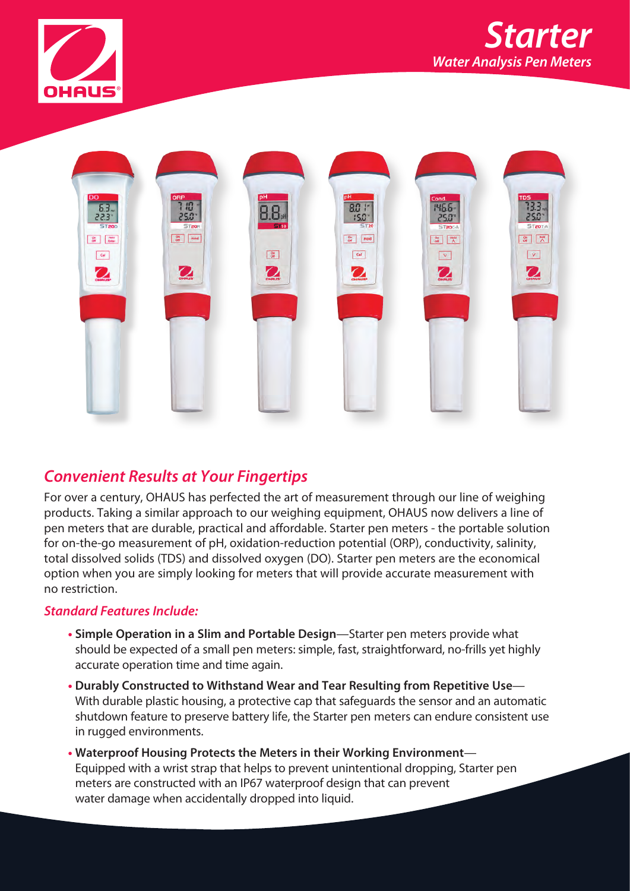





# *Convenient Results at Your Fingertips*

For over a century, OHAUS has perfected the art of measurement through our line of weighing products. Taking a similar approach to our weighing equipment, OHAUS now delivers a line of pen meters that are durable, practical and affordable. Starter pen meters - the portable solution for on-the-go measurement of pH, oxidation-reduction potential (ORP), conductivity, salinity, total dissolved solids (TDS) and dissolved oxygen (DO). Starter pen meters are the economical option when you are simply looking for meters that will provide accurate measurement with no restriction.

#### *Standard Features Include:*

- **• Simple Operation in a Slim and Portable Design**—Starter pen meters provide what should be expected of a small pen meters: simple, fast, straightforward, no-frills yet highly accurate operation time and time again.
- **• Durably Constructed to Withstand Wear and Tear Resulting from Repetitive Use** With durable plastic housing, a protective cap that safeguards the sensor and an automatic shutdown feature to preserve battery life, the Starter pen meters can endure consistent use in rugged environments.
- **• Waterproof Housing Protects the Meters in their Working Environment** Equipped with a wrist strap that helps to prevent unintentional dropping, Starter pen meters are constructed with an IP67 waterproof design that can prevent water damage when accidentally dropped into liquid.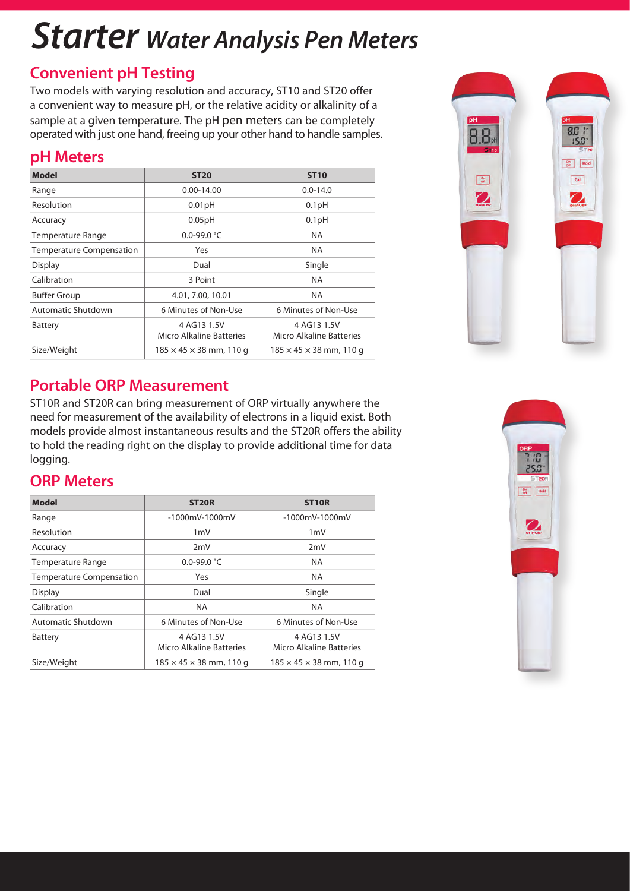# *Starter Water Analysis Pen Meters*

# **Convenient pH Testing**

Two models with varying resolution and accuracy, ST10 and ST20 offer a convenient way to measure pH, or the relative acidity or alkalinity of a sample at a given temperature. The pH pen meters can be completely operated with just one hand, freeing up your other hand to handle samples.

# **pH Meters**

| <b>Model</b>                    | <b>ST20</b>                             | <b>ST10</b>                             |
|---------------------------------|-----------------------------------------|-----------------------------------------|
| Range                           | $0.00 - 14.00$                          | $0.0 - 14.0$                            |
| Resolution                      | 0.01pH                                  | 0.1 <sub>pH</sub>                       |
| Accuracy                        | 0.05pH                                  | 0.1 <sub>pH</sub>                       |
| <b>Temperature Range</b>        | 0.0-99.0 °C                             | <b>NA</b>                               |
| <b>Temperature Compensation</b> | Yes                                     | <b>NA</b>                               |
| Display                         | Dual                                    | Single                                  |
| Calibration                     | 3 Point                                 | <b>NA</b>                               |
| <b>Buffer Group</b>             | 4.01, 7.00, 10.01                       | NA.                                     |
| Automatic Shutdown              | 6 Minutes of Non-Use                    | 6 Minutes of Non-Use                    |
| <b>Battery</b>                  | 4 AG13 1.5V<br>Micro Alkaline Batteries | 4 AG13 1.5V<br>Micro Alkaline Batteries |
| Size/Weight                     | $185 \times 45 \times 38$ mm, 110 g     | $185 \times 45 \times 38$ mm, 110 g     |



## **Portable ORP Measurement**

ST10R and ST20R can bring measurement of ORP virtually anywhere the need for measurement of the availability of electrons in a liquid exist. Both models provide almost instantaneous results and the ST20R offers the ability to hold the reading right on the display to provide additional time for data logging.

## **ORP Meters**

| <b>Model</b>                    | <b>ST20R</b>                            | <b>ST10R</b>                            |
|---------------------------------|-----------------------------------------|-----------------------------------------|
| Range                           | $-1000$ mV $-1000$ mV                   | $-1000$ mV-1000mV                       |
| Resolution                      | $1m$ V                                  | $1m$ V                                  |
| Accuracy                        | 2mV                                     | 2mV                                     |
| <b>Temperature Range</b>        | 0.0-99.0 $^{\circ}$ C                   | <b>NA</b>                               |
| <b>Temperature Compensation</b> | Yes                                     | <b>NA</b>                               |
| <b>Display</b>                  | Dual                                    | Single                                  |
| Calibration                     | <b>NA</b>                               | <b>NA</b>                               |
| Automatic Shutdown              | 6 Minutes of Non-Use                    | 6 Minutes of Non-Use                    |
| Battery                         | 4 AG13 1.5V<br>Micro Alkaline Batteries | 4 AG13 1.5V<br>Micro Alkaline Batteries |
| Size/Weight                     | $185 \times 45 \times 38$ mm, 110 g     | $185 \times 45 \times 38$ mm, 110 g     |

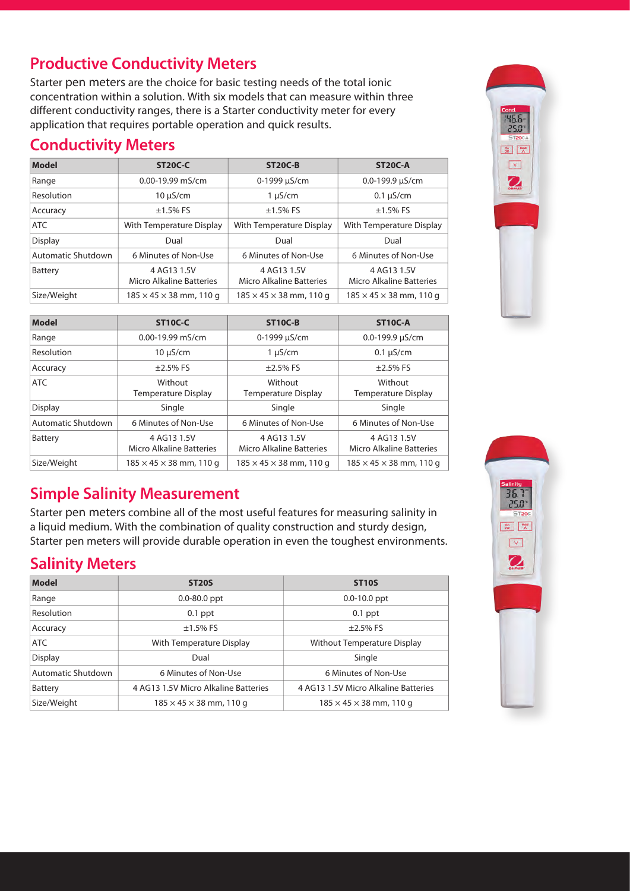# **Productive Conductivity Meters**

Starter pen meters are the choice for basic testing needs of the total ionic concentration within a solution. With six models that can measure within three different conductivity ranges, there is a Starter conductivity meter for every application that requires portable operation and quick results.

#### **Conductivity Meters**

| <b>Model</b>       | <b>ST20C-C</b>                          | <b>ST20C-B</b>                          | <b>ST20C-A</b>                          |
|--------------------|-----------------------------------------|-----------------------------------------|-----------------------------------------|
| Range              | $0.00 - 19.99$ mS/cm                    | 0-1999 µS/cm                            | 0.0-199.9 $\mu$ S/cm                    |
| Resolution         | $10 \mu$ S/cm                           | $1 \mu S/cm$                            | $0.1 \mu S/cm$                          |
| Accuracy           | $±1.5%$ FS                              | $±1.5\%$ FS                             | $±1.5\%$ FS                             |
| <b>ATC</b>         | With Temperature Display                | With Temperature Display                | With Temperature Display                |
| <b>Display</b>     | Dual                                    | Dual                                    | Dual                                    |
| Automatic Shutdown | 6 Minutes of Non-Use                    | 6 Minutes of Non-Use                    | 6 Minutes of Non-Use                    |
| Battery            | 4 AG13 1.5V<br>Micro Alkaline Batteries | 4 AG13 1.5V<br>Micro Alkaline Batteries | 4 AG13 1.5V<br>Micro Alkaline Batteries |
| Size/Weight        | $185 \times 45 \times 38$ mm, 110 g     | $185 \times 45 \times 38$ mm, 110 g     | $185 \times 45 \times 38$ mm, 110 g     |

| <b>Model</b>       | <b>ST10C-C</b>                          | <b>ST10C-B</b>                          | ST <sub>10</sub> C-A                    |
|--------------------|-----------------------------------------|-----------------------------------------|-----------------------------------------|
| Range              | $0.00 - 19.99$ mS/cm                    | 0-1999 µS/cm                            | 0.0-199.9 $\mu$ S/cm                    |
| Resolution         | $10 \mu$ S/cm                           | $1 \mu S/cm$                            | $0.1 \mu S/cm$                          |
| Accuracy           | $\pm$ 2.5% FS                           | $±2.5%$ FS                              | $\pm$ 2.5% FS                           |
| <b>ATC</b>         | Without<br><b>Temperature Display</b>   | Without<br><b>Temperature Display</b>   | Without<br><b>Temperature Display</b>   |
| <b>Display</b>     | Single                                  | Single                                  | Single                                  |
| Automatic Shutdown | 6 Minutes of Non-Use                    | 6 Minutes of Non-Use                    | 6 Minutes of Non-Use                    |
| Battery            | 4 AG13 1.5V<br>Micro Alkaline Batteries | 4 AG13 1.5V<br>Micro Alkaline Batteries | 4 AG13 1.5V<br>Micro Alkaline Batteries |
| Size/Weight        | $185 \times 45 \times 38$ mm, 110 g     | $185 \times 45 \times 38$ mm, 110 g     | $185 \times 45 \times 38$ mm, 110 g     |

# **Simple Salinity Measurement**

Starter pen meters combine all of the most useful features for measuring salinity in a liquid medium. With the combination of quality construction and sturdy design, Starter pen meters will provide durable operation in even the toughest environments.

# **Salinity Meters**

| Model              | <b>ST20S</b>                         | <b>ST10S</b>                         |
|--------------------|--------------------------------------|--------------------------------------|
| Range              | $0.0 - 80.0$ ppt                     | $0.0 - 10.0$ ppt                     |
| <b>Resolution</b>  | $0.1$ ppt                            | $0.1$ ppt                            |
| Accuracy           | $±1.5%$ FS                           | $±2.5%$ FS                           |
| ATC                | With Temperature Display             | Without Temperature Display          |
| <b>Display</b>     | Dual                                 | Single                               |
| Automatic Shutdown | 6 Minutes of Non-Use                 | 6 Minutes of Non-Use                 |
| Battery            | 4 AG13 1.5V Micro Alkaline Batteries | 4 AG13 1.5V Micro Alkaline Batteries |
| Size/Weight        | $185 \times 45 \times 38$ mm, 110 g  | $185 \times 45 \times 38$ mm, 110 g  |